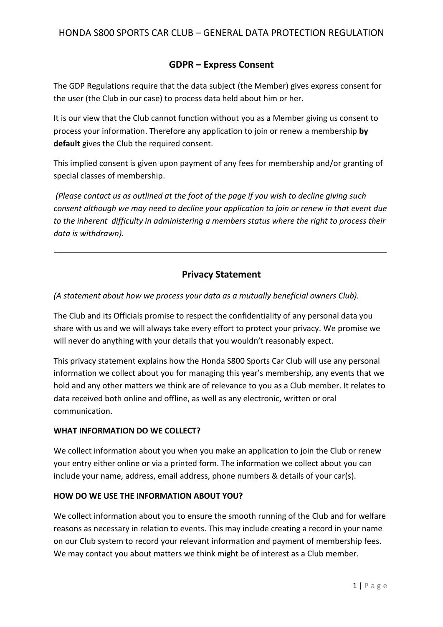# **GDPR – Express Consent**

The GDP Regulations require that the data subject (the Member) gives express consent for the user (the Club in our case) to process data held about him or her.

It is our view that the Club cannot function without you as a Member giving us consent to process your information. Therefore any application to join or renew a membership **by default** gives the Club the required consent.

This implied consent is given upon payment of any fees for membership and/or granting of special classes of membership.

*(Please contact us as outlined at the foot of the page if you wish to decline giving such consent although we may need to decline your application to join or renew in that event due to the inherent difficulty in administering a members status where the right to process their data is withdrawn).*

# **Privacy Statement**

## *(A statement about how we process your data as a mutually beneficial owners Club).*

The Club and its Officials promise to respect the confidentiality of any personal data you share with us and we will always take every effort to protect your privacy. We promise we will never do anything with your details that you wouldn't reasonably expect.

This privacy statement explains how the Honda S800 Sports Car Club will use any personal information we collect about you for managing this year's membership, any events that we hold and any other matters we think are of relevance to you as a Club member. It relates to data received both online and offline, as well as any electronic, written or oral communication.

### **WHAT INFORMATION DO WE COLLECT?**

We collect information about you when you make an application to join the Club or renew your entry either online or via a printed form. The information we collect about you can include your name, address, email address, phone numbers & details of your car(s).

### **HOW DO WE USE THE INFORMATION ABOUT YOU?**

We collect information about you to ensure the smooth running of the Club and for welfare reasons as necessary in relation to events. This may include creating a record in your name on our Club system to record your relevant information and payment of membership fees. We may contact you about matters we think might be of interest as a Club member.